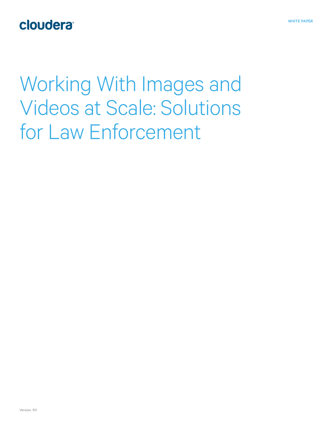## cloudera<sup>®</sup>

Working With Images and Videos at Scale: Solutions for Law Enforcement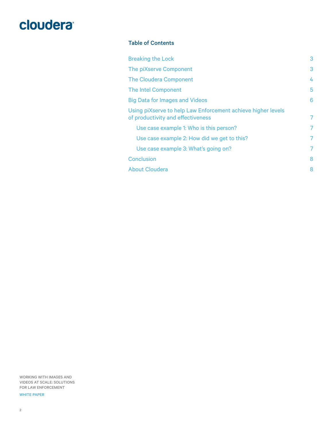### Table of Contents

| <b>Breaking the Lock</b>                                                                          | 3 |
|---------------------------------------------------------------------------------------------------|---|
| The piXserve Component                                                                            | 3 |
| <b>The Cloudera Component</b>                                                                     | 4 |
| <b>The Intel Component</b>                                                                        | 5 |
| <b>Big Data for Images and Videos</b>                                                             | 6 |
| Using piXserve to help Law Enforcement achieve higher levels<br>of productivity and effectiveness | 7 |
| Use case example 1: Who is this person?                                                           | 7 |
| Use case example 2: How did we get to this?                                                       | 7 |
| Use case example 3: What's going on?                                                              | 7 |
| <b>Conclusion</b>                                                                                 | 8 |
| <b>About Cloudera</b>                                                                             | 8 |

WORKING WITH IMAGES AND VIDEOS AT SCALE: SOLUTIONS FOR LAW ENFORCEMENT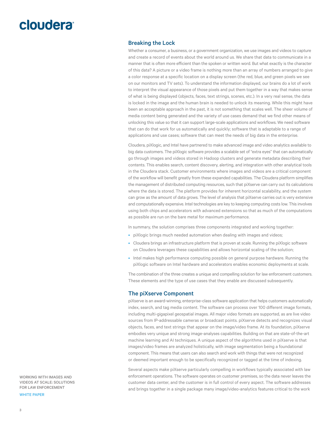#### <span id="page-2-0"></span>Breaking the Lock

Whether a consumer, a business, or a government organization, we use images and videos to capture and create a record of events about the world around us. We share that data to communicate in a manner that is often more efficient than the spoken or written word. But what exactly is the character of this data? A picture or a video frame is nothing more than an array of numbers arranged to give a color response at a specific location on a display screen (the red, blue, and green pixels we see on our monitors and TV sets). To understand the information displayed, our brains do a lot of work to interpret the visual appearance of those pixels and put them together in a way that makes sense of what is being displayed (objects, faces, text strings, scenes, etc.). In a very real sense, the data is locked in the image and the human brain is needed to unlock its meaning. While this might have been an acceptable approach in the past, it is not something that scales well. The sheer volume of media content being generated and the variety of use cases demand that we find other means of unlocking this value so that it can support large-scale applications and workflows. We need software that can do that work for us automatically and quickly; software that is adaptable to a range of applications and use cases; software that can meet the needs of big data in the enterprise.

Cloudera, piXlogic, and Intel have partnered to make advanced image and video analytics available to big data customers. The piXlogic software provides a scalable set of "extra eyes" that can automatically go through images and videos stored in Hadoop clusters and generate metadata describing their contents. This enables search, content discovery, alerting, and integration with other analytical tools in the Cloudera stack. Customer environments where images and videos are a critical component of the workflow will benefit greatly from these expanded capabilities. The Cloudera platform simplifies the management of distributed computing resources, such that piXserve can carry out its calculations where the data is stored. The platform provides for inherent horizontal scalability, and the system can grow as the amount of data grows. The level of analysis that piXserve carries out is very extensive and computationally expensive. Intel technologies are key to keeping computing costs low. This involves using both chips and accelerators with advanced extensions so that as much of the computations as possible are run on the bare metal for maximum performance.

In summary, the solution comprises three components integrated and working together:

- piXlogic brings much needed automation when dealing with images and videos;
- Cloudera brings an infrastructure platform that is proven at scale. Running the piXlogic software on Cloudera leverages these capabilities and allows horizontal scaling of the solution;
- Intel makes high performance computing possible on general purpose hardware. Running the piXlogic software on Intel hardware and accelerators enables economic deployments at scale.

The combination of the three creates a unique and compelling solution for law enforcement customers. These elements and the type of use cases that they enable are discussed subsequently.

#### The piXserve Component

piXserve is an award-winning, enterprise-class software application that helps customers automatically index, search, and tag media content. The software can process over 100 different image formats, including multi-gigapixel geospatial images. All major video formats are supported, as are live video sources from IP-addressable cameras or broadcast points. piXserve detects and recognizes visual objects, faces, and text strings that appear on the image/video frame. At its foundation, piXserve embodies very unique and strong image-analyses capabilities. Building on that are state-of-the-art machine learning and AI techniques. A unique aspect of the algorithms used in piXserve is that images/video frames are analyzed holistically, with image segmentation being a foundational component. This means that users can also search and work with things that were not recognized or deemed important enough to be specifically recognized or tagged at the time of indexing.

Several aspects make piXserve particularly compelling in workflows typically associated with law enforcement operations. The software operates on customer premises, so the data never leaves the customer data center, and the customer is in full control of every aspect. The software addresses and brings together in a single package many image/video-analytics features critical to the work

WORKING WITH IMAGES AND VIDEOS AT SCALE: SOLUTIONS FOR LAW ENFORCEMENT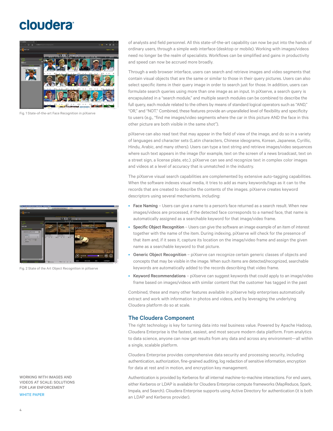<span id="page-3-0"></span>

Fig. 1 State-of-the-art Face Recognition in piXserve



Fig. 2 State of the Art Object Recognition in piXserve

WORKING WITH IMAGES AND VIDEOS AT SCALE: SOLUTIONS FOR LAW ENFORCEMENT

WHITE PAPER

of analysts and field personnel. All this state-of-the-art capability can now be put into the hands of ordinary users, through a simple web interface (desktop or mobile). Working with images/videos need no longer be the realm of specialists. Workflows can be simplified and gains in productivity and speed can now be accrued more broadly.

Through a web browser interface, users can search and retrieve images and video segments that contain visual objects that are the same or similar to those in their query pictures. Users can also select specific items in their query image in order to search just for those. In addition, users can formulate search queries using more than one image as an input. In piXserve, a search query is encapsulated in a "search module," and multiple search modules can be combined to describe the full query, each module related to the others by means of standard logical operators such as "AND," "OR," and "NOT." Combined, these features provide an unparalleled level of flexibility and specificity to users (e.g., "find me images/video segments where the car in this picture AND the face in this other picture are both visible in the same shot").

piXserve can also read text that may appear in the field of view of the image, and do so in a variety of languages and character sets (Latin characters, Chinese ideograms, Korean, Japanese, Cyrillic, Hindu, Arabic, and many others). Users can type a text string and retrieve images/video sequences where such text appears in the image (for example, text on the screen of a news broadcast, text on a street sign, a license plate, etc.). piXserve can see and recognize text in complex color images and videos at a level of accuracy that is unmatched in the industry.

The piXserve visual search capabilities are complemented by extensive auto-tagging capabilities. When the software indexes visual media, it tries to add as many keywords/tags as it can to the records that are created to describe the contents of the images. piXserve creates keyword descriptors using several mechanisms, including:

- Face Naming Users can give a name to a person's face returned as a search result. When new images/videos are processed, if the detected face corresponds to a named face, that name is automatically assigned as a searchable keyword for that image/video frame.
- Specific Object Recognition Users can give the software an image example of an item of interest together with the name of the item. During indexing, piXserve will check for the presence of that item and, if it sees it, capture its location on the image/video frame and assign the given name as a searchable keyword to that picture.
- Generic Object Recognition piXserve can recognize certain generic classes of objects and concepts that may be visible in the image. When such items are detected/recognized, searchable keywords are automatically added to the records describing that video frame.
- Keyword Recommendations piXserve can suggest keywords that could apply to an image/video frame based on images/videos with similar content that the customer has tagged in the past

Combined, these and many other features available in piXserve help enterprises automatically extract and work with information in photos and videos, and by leveraging the underlying Cloudera platform do so at scale.

### The Cloudera Component

The right technology is key for turning data into real business value. Powered by Apache Hadoop, Cloudera Enterprise is the fastest, easiest, and most secure modern data platform. From analytics to data science, anyone can now get results from any data and across any environment—all within a single, scalable platform.

Cloudera Enterprise provides comprehensive data security and processing security, including authentication, authorization, fine-grained auditing, log redaction of sensitive information, encryption for data at rest and in motion, and encryption key management.

Authentication is provided by Kerberos for all internal machine-to-machine interactions. For end users, either Kerberos or LDAP is available for Cloudera Enterprise compute frameworks (MapReduce, Spark, Impala, and Search). Cloudera Enterprise supports using Active Directory for authentication (it is both an LDAP and Kerberos provider).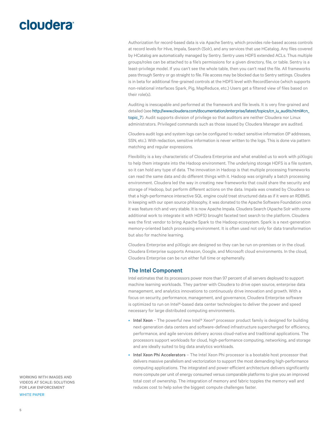## <span id="page-4-0"></span>cloudera<sup>®</sup>

Authorization for record-based data is via Apache Sentry, which provides role-based access controls at record levels for Hive, Impala, Search (Solr), and any services that use HCatalog. Any files covered by HCatalog are automatically managed by Sentry. Sentry uses HDFS extended ACLs. Thus multiple groups/roles can be attached to a file's permissions for a given directory, file, or table. Sentry is a least-privilege model. If you can't see the whole table, then you can't read the file. All frameworks pass through Sentry or go straight to file. File access may be blocked due to Sentry settings. Cloudera is in beta for additional fine-grained controls at the HDFS level with RecordService (which supports non-relational interfaces Spark, Pig, MapReduce, etc.) Users get a filtered view of files based on their role(s).

Auditing is inescapable and performed at the framework and file levels. It is very fine-grained and detailed (see [http://www.cloudera.com/documentation/enterprise/latest/topics/cn\\_iu\\_audits.html#cn\\_](http://www.cloudera.com/documentation/enterprise/latest/topics/cn_iu_audits.html#cn_topic_7) [topic\\_7\)](http://www.cloudera.com/documentation/enterprise/latest/topics/cn_iu_audits.html#cn_topic_7). Audit supports division of privilege so that auditors are neither Cloudera nor Linux administrators. Privileged commands such as those issued by Cloudera Manager are audited.

Cloudera audit logs and system logs can be configured to redact sensitive information (IP addresses, SSN, etc.). With redaction, sensitive information is never written to the logs. This is done via pattern matching and regular expressions.

Flexibility is a key characteristic of Cloudera Enterprise and what enabled us to work with piXlogic to help them integrate into the Hadoop environment. The underlying storage HDFS is a file system, so it can hold any type of data. The innovation in Hadoop is that multiple processing frameworks can read the same data and do different things with it. Hadoop was originally a batch processing environment. Cloudera led the way in creating new frameworks that could share the security and storage of Hadoop, but perform different actions on the data. Impala was created by Cloudera so that a high-performance interactive SQL engine could treat structured data as if it were an RDBMS. In keeping with our open source philosophy, it was donated to the Apache Software Foundation once it was feature rich and very stable. It is now Apache Impala. Cloudera Search (Apache Solr with some additional work to integrate it with HDFS) brought faceted text search to the platform. Cloudera was the first vendor to bring Apache Spark to the Hadoop ecosystem. Spark is a next-generation memory-oriented batch processing environment. It is often used not only for data transformation but also for machine learning.

Cloudera Enterprise and piXlogic are designed so they can be run on-premises or in the cloud. Cloudera Enterprise supports Amazon, Google, and Microsoft cloud environments. In the cloud, Cloudera Enterprise can be run either full time or ephemerally.

### The Intel Component

Intel estimates that its processors power more than 97 percent of all servers deployed to support machine learning workloads. They partner with Cloudera to drive open source, enterprise data management, and analytics innovations to continuously drive innovation and growth. With a focus on security, performance, management, and governance, Cloudera Enterprise software is optimized to run on Intel®-based data center technologies to deliver the power and speed necessary for large distributed computing environments.

- Intel Xeon The powerful new Intel® Xeon® processor product family is designed for building next-generation data centers and software-defined infrastructure supercharged for efficiency, performance, and agile services delivery across cloud-native and traditional applications. The processors support workloads for cloud, high-performance computing, networking, and storage and are ideally suited to big data analytics workloads.
- Intel Xeon Phi Accelerators The Intel Xeon Phi processor is a bootable host processor that delivers massive parallelism and vectorization to support the most demanding high-performance computing applications. The integrated and power-efficient architecture delivers significantly more compute per unit of energy consumed versus comparable platforms to give you an improved total cost of ownership. The integration of memory and fabric topples the memory wall and reduces cost to help solve the biggest compute challenges faster.

WORKING WITH IMAGES AND VIDEOS AT SCALE: SOLUTIONS FOR LAW ENFORCEMENT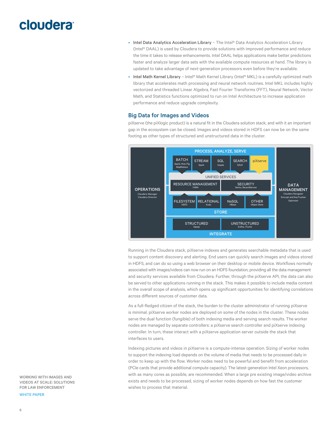- <span id="page-5-0"></span>• Intel Data Analytics Acceleration Library - The Intel® Data Analytics Acceleration Library (Intel® DAAL) is used by Cloudera to provide solutions with improved performance and reduce the time it takes to release enhancements. Intel DAAL helps applications make better predictions faster and analyze larger data sets with the available compute resources at hand. The library is updated to take advantage of next-generation processors even before they're available.
- Intel Math Kernel Library Intel® Math Kernel Library (Intel® MKL) is a carefully optimized math library that accelerates math processing and neural network routines. Intel MKL includes highly vectorized and threaded Linear Algebra, Fast Fourier Transforms (FFT), Neural Network, Vector Math, and Statistics functions optimized to run on Intel Architecture to increase application performance and reduce upgrade complexity.

### Big Data for Images and Videos

piXserve (the piXlogic product) is a natural fit in the Cloudera solution stack, and with it an important gap in the ecosystem can be closed. Images and videos stored in HDFS can now be on the same footing as other types of structured and unstructured data in the cluster.



Running in the Cloudera stack, piXserve indexes and generates searchable metadata that is used to support content discovery and alerting. End users can quickly search images and videos stored in HDFS, and can do so using a web browser on their desktop or mobile device. Workflows normally associated with images/videos can now run on an HDFS foundation, providing all the data management and security services available from Cloudera. Further, through the piXserve API, the data can also be served to other applications running in the stack. This makes it possible to include media content in the overall scope of analysis, which opens up significant opportunities for identifying correlations across different sources of customer data.

As a full-fledged citizen of the stack, the burden to the cluster administrator of running piXserve is minimal. piXserve worker nodes are deployed on some of the nodes in the cluster. These nodes serve the dual function (fungible) of both indexing media and serving search results. The worker nodes are managed by separate controllers: a piXserve search controller and piXserve indexing controller. In turn, these interact with a piXserve application server outside the stack that interfaces to users.

Indexing pictures and videos in piXserve is a compute-intense operation. Sizing of worker nodes to support the indexing load depends on the volume of media that needs to be processed daily in order to keep up with the flow. Worker nodes need to be powerful and benefit from acceleration (PCIe cards that provide additional compute capacity). The latest-generation Intel Xeon processors, with as many cores as possible, are recommended. When a large pre existing image/video archive exists and needs to be processed, sizing of worker nodes depends on how fast the customer wishes to process that material.

WORKING WITH IMAGES AND VIDEOS AT SCALE: SOLUTIONS FOR LAW ENFORCEMENT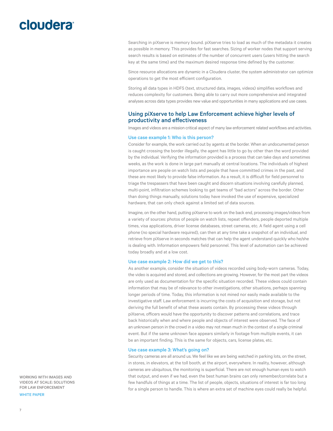<span id="page-6-0"></span>Searching in piXserve is memory bound. piXserve tries to load as much of the metadata it creates as possible in memory. This provides for fast searches. Sizing of worker nodes that support serving search results is based on estimates of the number of concurrent users (users hitting the search key at the same time) and the maximum desired response time defined by the customer.

Since resource allocations are dynamic in a Cloudera cluster, the system administrator can optimize operations to get the most efficient configuration.

Storing all data types in HDFS (text, structured data, images, videos) simplifies workflows and reduces complexity for customers. Being able to carry out more comprehensive and integrated analyses across data types provides new value and opportunities in many applications and use cases.

### Using piXserve to help Law Enforcement achieve higher levels of productivity and effectiveness

Images and videos are a mission critical aspect of many law enforcement related workflows and activities.

#### Use case example 1: Who is this person?

Consider for example, the work carried out by agents at the border. When an undocumented person is caught crossing the border illegally, the agent has little to go by other than the word provided by the individual. Verifying the information provided is a process that can take days and sometimes weeks, as the work is done in large part manually at central locations. The individuals of highest importance are people on watch lists and people that have committed crimes in the past, and these are most likely to provide false information. As a result, it is difficult for field personnel to triage the trespassers that have been caught and discern situations involving carefully planned, multi-point, infiltration schemes looking to get teams of "bad actors" across the border. Other than doing things manually, solutions today have invoked the use of expensive, specialized hardware, that can only check against a limited set of data sources.

Imagine, on the other hand, putting piXserve to work on the back end, processing images/videos from a variety of sources: photos of people on watch lists, repeat offenders, people deported multiple times, visa applications, driver license databases, street cameras, etc. A field agent using a cell phone (no special hardware required), can then at any time take a snapshot of an individual, and retrieve from piXserve in seconds matches that can help the agent understand quickly who he/she is dealing with. Information empowers field personnel. This level of automation can be achieved today broadly and at a low cost.

#### Use case example 2: How did we get to this?

As another example, consider the situation of videos recorded using body-worn cameras. Today, the video is acquired and stored, and collections are growing. However, for the most part the videos are only used as documentation for the specific situation recorded. These videos could contain information that may be of relevance to other investigations, other situations, perhaps spanning longer periods of time. Today, this information is not mined nor easily made available to the investigative staff. Law enforcement is incurring the costs of acquisition and storage, but not deriving the full benefit of what these assets contain. By processing these videos through piXserve, officers would have the opportunity to discover patterns and correlations, and trace back historically when and where people and objects of interest were observed. The face of an unknown person in the crowd in a video may not mean much in the context of a single criminal event. But if the same unknown face appears similarly in footage from multiple events, it can be an important finding. This is the same for objects, cars, license plates, etc.

#### Use case example 3: What's going on?

Security cameras are all around us. We feel like we are being watched in parking lots, on the street, in stores, in elevators, at the toll booth, at the airport, everywhere. In reality, however, although cameras are ubiquitous, the monitoring is superficial. There are not enough human eyes to watch that output, and even if we had, even the best human brains can only remember/correlate but a few handfuls of things at a time. The list of people, objects, situations of interest is far too long for a single person to handle. This is where an extra set of machine eyes could really be helpful.

WORKING WITH IMAGES AND VIDEOS AT SCALE: SOLUTIONS FOR LAW ENFORCEMENT